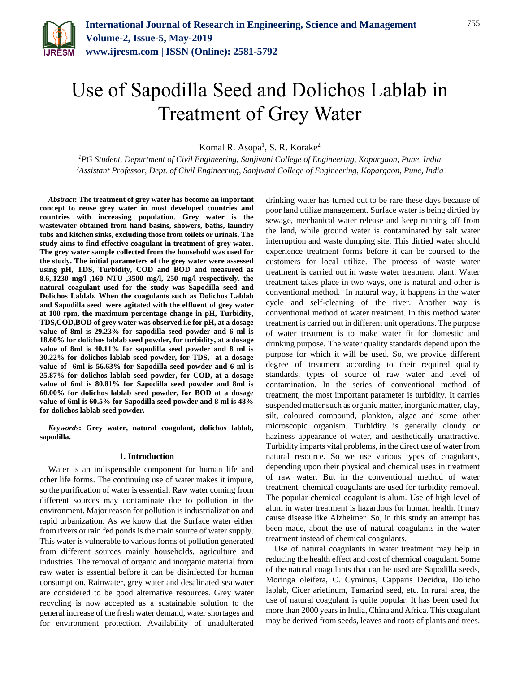

# Use of Sapodilla Seed and Dolichos Lablab in Treatment of Grey Water

Komal R. Asopa<sup>1</sup>, S. R. Korake<sup>2</sup>

*<sup>1</sup>PG Student, Department of Civil Engineering, Sanjivani College of Engineering, Kopargaon, Pune, India <sup>2</sup>Assistant Professor, Dept. of Civil Engineering, Sanjivani College of Engineering, Kopargaon, Pune, India*

*Abstract***: The treatment of grey water has become an important concept to reuse grey water in most developed countries and countries with increasing population. Grey water is the wastewater obtained from hand basins, showers, baths, laundry tubs and kitchen sinks, excluding those from toilets or urinals. The study aims to find effective coagulant in treatment of grey water. The grey water sample collected from the household was used for the study. The initial parameters of the grey water were assessed using pH, TDS, Turbidity, COD and BOD and measured as 8.6,.1230 mg/l ,160 NTU ,3500 mg/l, 250 mg/l respectively. the natural coagulant used for the study was Sapodilla seed and Dolichos Lablab. When the coagulants such as Dolichos Lablab and Sapodilla seed were agitated with the effluent of grey water at 100 rpm, the maximum percentage change in pH, Turbidity, TDS,COD,BOD of grey water was observed i.e for pH, at a dosage value of 8ml is 29.23% for sapodilla seed powder and 6 ml is 18.60% for dolichos lablab seed powder, for turbidity, at a dosage value of 8ml is 40.11% for sapodilla seed powder and 8 ml is 30.22% for dolichos lablab seed powder, for TDS, at a dosage value of 6ml is 56.63% for Sapodilla seed powder and 6 ml is 25.87% for dolichos lablab seed powder, for COD, at a dosage value of 6ml is 80.81% for Sapodilla seed powder and 8ml is 60.00% for dolichos lablab seed powder, for BOD at a dosage value of 6ml is 60.5% for Sapodilla seed powder and 8 ml is 48% for dolichos lablab seed powder.**

*Keywords***: Grey water, natural coagulant, dolichos lablab, sapodilla.**

# **1. Introduction**

Water is an indispensable component for human life and other life forms. The continuing use of water makes it impure, so the purification of water is essential. Raw water coming from different sources may contaminate due to pollution in the environment. Major reason for pollution is industrialization and rapid urbanization. As we know that the Surface water either from rivers or rain fed ponds is the main source of water supply. This water is vulnerable to various forms of pollution generated from different sources mainly households, agriculture and industries. The removal of organic and inorganic material from raw water is essential before it can be disinfected for human consumption. Rainwater, grey water and desalinated sea water are considered to be good alternative resources. Grey water recycling is now accepted as a sustainable solution to the general increase of the fresh water demand, water shortages and for environment protection. Availability of unadulterated drinking water has turned out to be rare these days because of poor land utilize management. Surface water is being dirtied by sewage, mechanical water release and keep running off from the land, while ground water is contaminated by salt water interruption and waste dumping site. This dirtied water should experience treatment forms before it can be coursed to the customers for local utilize. The process of waste water treatment is carried out in waste water treatment plant. Water treatment takes place in two ways, one is natural and other is conventional method. In natural way, it happens in the water cycle and self-cleaning of the river. Another way is conventional method of water treatment. In this method water treatment is carried out in different unit operations. The purpose of water treatment is to make water fit for domestic and drinking purpose. The water quality standards depend upon the purpose for which it will be used. So, we provide different degree of treatment according to their required quality standards, types of source of raw water and level of contamination. In the series of conventional method of treatment, the most important parameter is turbidity. It carries suspended matter such as organic matter, inorganic matter, clay, silt, coloured compound, plankton, algae and some other microscopic organism. Turbidity is generally cloudy or haziness appearance of water, and aesthetically unattractive. Turbidity imparts vital problems, in the direct use of water from natural resource. So we use various types of coagulants, depending upon their physical and chemical uses in treatment of raw water. But in the conventional method of water treatment, chemical coagulants are used for turbidity removal. The popular chemical coagulant is alum. Use of high level of alum in water treatment is hazardous for human health. It may cause disease like Alzheimer. So, in this study an attempt has been made, about the use of natural coagulants in the water treatment instead of chemical coagulants.

Use of natural coagulants in water treatment may help in reducing the health effect and cost of chemical coagulant. Some of the natural coagulants that can be used are Sapodilla seeds, Moringa oleifera, C. Cyminus, Capparis Decidua, Dolicho lablab, Cicer arietinum, Tamarind seed, etc. In rural area, the use of natural coagulant is quite popular. It has been used for more than 2000 years in India, China and Africa. This coagulant may be derived from seeds, leaves and roots of plants and trees.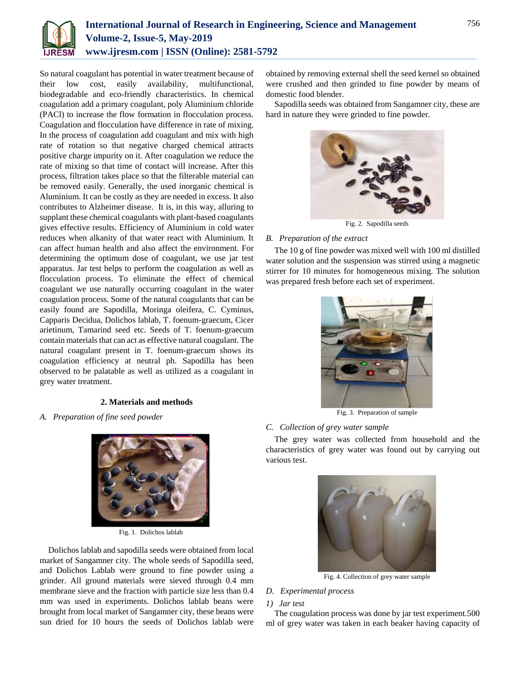

So natural coagulant has potential in water treatment because of their low cost, easily availability, multifunctional, biodegradable and eco-friendly characteristics. In chemical coagulation add a primary coagulant, poly Aluminium chloride (PACl) to increase the flow formation in flocculation process. Coagulation and flocculation have difference in rate of mixing. In the process of coagulation add coagulant and mix with high rate of rotation so that negative charged chemical attracts positive charge impurity on it. After coagulation we reduce the rate of mixing so that time of contact will increase. After this process, filtration takes place so that the filterable material can be removed easily. Generally, the used inorganic chemical is Aluminium. It can be costly as they are needed in excess. It also contributes to Alzheimer disease. It is, in this way, alluring to supplant these chemical coagulants with plant-based coagulants gives effective results. Efficiency of Aluminium in cold water reduces when alkanity of that water react with Aluminium. It can affect human health and also affect the environment. For determining the optimum dose of coagulant, we use jar test apparatus. Jar test helps to perform the coagulation as well as flocculation process. To eliminate the effect of chemical coagulant we use naturally occurring coagulant in the water coagulation process. Some of the natural coagulants that can be easily found are Sapodilla, Moringa oleifera, C. Cyminus, Capparis Decidua, Dolichos lablab, T. foenum-graecum, Cicer arietinum, Tamarind seed etc. Seeds of T. foenum-graecum contain materials that can act as effective natural coagulant. The natural coagulant present in T. foenum-graecum shows its coagulation efficiency at neutral ph. Sapodilla has been observed to be palatable as well as utilized as a coagulant in grey water treatment.

# **2. Materials and methods**

*A. Preparation of fine seed powder*



Fig. 1. Dolichos lablab

Dolichos lablab and sapodilla seeds were obtained from local market of Sangamner city. The whole seeds of Sapodilla seed, and Dolichos Lablab were ground to fine powder using a grinder. All ground materials were sieved through 0.4 mm membrane sieve and the fraction with particle size less than 0.4 mm was used in experiments. Dolichos lablab beans were brought from local market of Sangamner city, these beans were sun dried for 10 hours the seeds of Dolichos lablab were obtained by removing external shell the seed kernel so obtained were crushed and then grinded to fine powder by means of domestic food blender.

Sapodilla seeds was obtained from Sangamner city, these are hard in nature they were grinded to fine powder.



Fig. 2. Sapodilla seeds

# *B. Preparation of the extract*

The 10 g of fine powder was mixed well with 100 ml distilled water solution and the suspension was stirred using a magnetic stirrer for 10 minutes for homogeneous mixing. The solution was prepared fresh before each set of experiment.



Fig. 3. Preparation of sample

# *C. Collection of grey water sample*

The grey water was collected from household and the characteristics of grey water was found out by carrying out various test.



Fig. 4. Collection of grey water sample

# *D. Experimental process*

#### *1) Jar test*

The coagulation process was done by jar test experiment.500 ml of grey water was taken in each beaker having capacity of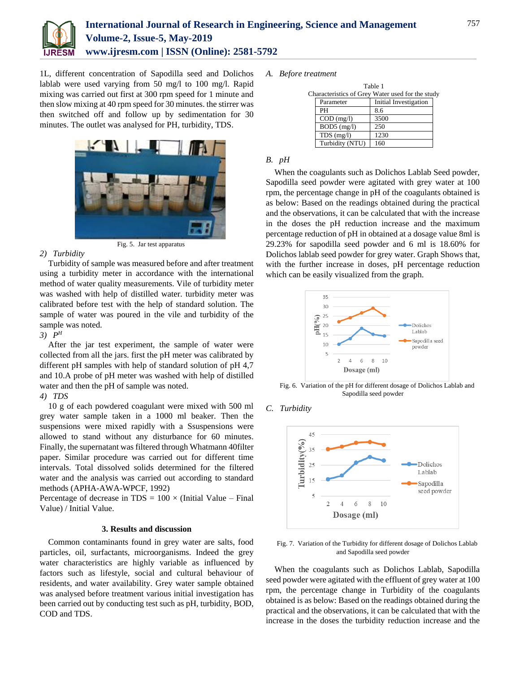

# **International Journal of Research in Engineering, Science and Management Volume-2, Issue-5, May-2019 www.ijresm.com | ISSN (Online): 2581-5792**

1L, different concentration of Sapodilla seed and Dolichos lablab were used varying from 50 mg/l to 100 mg/l. Rapid mixing was carried out first at 300 rpm speed for 1 minute and then slow mixing at 40 rpm speed for 30 minutes. the stirrer was then switched off and follow up by sedimentation for 30 minutes. The outlet was analysed for PH, turbidity, TDS.



# Fig. 5. Jar test apparatus

# *2) Turbidity*

Turbidity of sample was measured before and after treatment using a turbidity meter in accordance with the international method of water quality measurements. Vile of turbidity meter was washed with help of distilled water. turbidity meter was calibrated before test with the help of standard solution. The sample of water was poured in the vile and turbidity of the sample was noted.

*3) P H*

After the jar test experiment, the sample of water were collected from all the jars. first the pH meter was calibrated by different pH samples with help of standard solution of pH 4,7 and 10.A probe of pH meter was washed with help of distilled water and then the pH of sample was noted.

# *4) TDS*

10 g of each powdered coagulant were mixed with 500 ml grey water sample taken in a 1000 ml beaker. Then the suspensions were mixed rapidly with a Ssuspensions were allowed to stand without any disturbance for 60 minutes. Finally, the supernatant was filtered through Whatmann 40filter paper. Similar procedure was carried out for different time intervals. Total dissolved solids determined for the filtered water and the analysis was carried out according to standard methods (APHA-AWA-WPCF, 1992)

Percentage of decrease in TDS =  $100 \times$  (Initial Value – Final Value) / Initial Value.

# **3. Results and discussion**

Common contaminants found in grey water are salts, food particles, oil, surfactants, microorganisms. Indeed the grey water characteristics are highly variable as influenced by factors such as lifestyle, social and cultural behaviour of residents, and water availability. Grey water sample obtained was analysed before treatment various initial investigation has been carried out by conducting test such as pH, turbidity, BOD, COD and TDS.

# *A. Before treatment*

| Table 1                                          |                 |                       |  |
|--------------------------------------------------|-----------------|-----------------------|--|
| Characteristics of Grey Water used for the study |                 |                       |  |
|                                                  | Parameter       | Initial Investigation |  |
|                                                  | PH              | 8.6                   |  |
|                                                  | $COD$ (mg/l)    | 3500                  |  |
|                                                  | $BOD5$ (mg/l)   | 250                   |  |
|                                                  | $TDS$ (mg/l)    | 1230                  |  |
|                                                  | Turbidity (NTU) | 160                   |  |

#### *B. pH*

When the coagulants such as Dolichos Lablab Seed powder, Sapodilla seed powder were agitated with grey water at 100 rpm, the percentage change in pH of the coagulants obtained is as below: Based on the readings obtained during the practical and the observations, it can be calculated that with the increase in the doses the pH reduction increase and the maximum percentage reduction of pH in obtained at a dosage value 8ml is 29.23% for sapodilla seed powder and 6 ml is 18.60% for Dolichos lablab seed powder for grey water. Graph Shows that, with the further increase in doses, pH percentage reduction which can be easily visualized from the graph.



Fig. 6. Variation of the pH for different dosage of Dolichos Lablab and Sapodilla seed powder

*C. Turbidity*



Fig. 7. Variation of the Turbidity for different dosage of Dolichos Lablab and Sapodilla seed powder

When the coagulants such as Dolichos Lablab, Sapodilla seed powder were agitated with the effluent of grey water at 100 rpm, the percentage change in Turbidity of the coagulants obtained is as below: Based on the readings obtained during the practical and the observations, it can be calculated that with the increase in the doses the turbidity reduction increase and the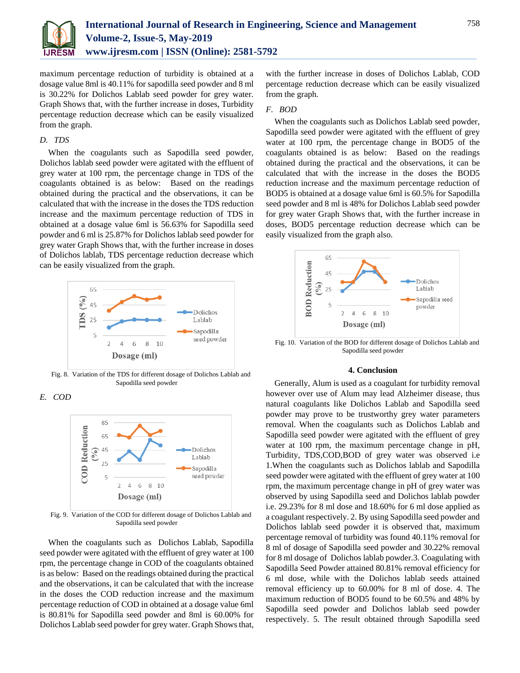

maximum percentage reduction of turbidity is obtained at a dosage value 8ml is 40.11% for sapodilla seed powder and 8 ml is 30.22% for Dolichos Lablab seed powder for grey water. Graph Shows that, with the further increase in doses, Turbidity percentage reduction decrease which can be easily visualized from the graph.

# *D. TDS*

When the coagulants such as Sapodilla seed powder, Dolichos lablab seed powder were agitated with the effluent of grey water at 100 rpm, the percentage change in TDS of the coagulants obtained is as below: Based on the readings obtained during the practical and the observations, it can be calculated that with the increase in the doses the TDS reduction increase and the maximum percentage reduction of TDS in obtained at a dosage value 6ml is 56.63% for Sapodilla seed powder and 6 ml is 25.87% for Dolichos lablab seed powder for grey water Graph Shows that, with the further increase in doses of Dolichos lablab, TDS percentage reduction decrease which can be easily visualized from the graph.



Fig. 8. Variation of the TDS for different dosage of Dolichos Lablab and Sapodilla seed powder

# *E. COD*



Fig. 9. Variation of the COD for different dosage of Dolichos Lablab and Sapodilla seed powder

When the coagulants such as Dolichos Lablab, Sapodilla seed powder were agitated with the effluent of grey water at 100 rpm, the percentage change in COD of the coagulants obtained is as below: Based on the readings obtained during the practical and the observations, it can be calculated that with the increase in the doses the COD reduction increase and the maximum percentage reduction of COD in obtained at a dosage value 6ml is 80.81% for Sapodilla seed powder and 8ml is 60.00% for Dolichos Lablab seed powder for grey water. Graph Shows that,

with the further increase in doses of Dolichos Lablab, COD percentage reduction decrease which can be easily visualized from the graph.

#### *F. BOD*

When the coagulants such as Dolichos Lablab seed powder, Sapodilla seed powder were agitated with the effluent of grey water at 100 rpm, the percentage change in BOD5 of the coagulants obtained is as below: Based on the readings obtained during the practical and the observations, it can be calculated that with the increase in the doses the BOD5 reduction increase and the maximum percentage reduction of BOD5 is obtained at a dosage value 6ml is 60.5% for Sapodilla seed powder and 8 ml is 48% for Dolichos Lablab seed powder for grey water Graph Shows that, with the further increase in doses, BOD5 percentage reduction decrease which can be easily visualized from the graph also.



Fig. 10. Variation of the BOD for different dosage of Dolichos Lablab and Sapodilla seed powder

# **4. Conclusion**

Generally, Alum is used as a coagulant for turbidity removal however over use of Alum may lead Alzheimer disease, thus natural coagulants like Dolichos Lablab and Sapodilla seed powder may prove to be trustworthy grey water parameters removal. When the coagulants such as Dolichos Lablab and Sapodilla seed powder were agitated with the effluent of grey water at 100 rpm, the maximum percentage change in pH, Turbidity, TDS,COD,BOD of grey water was observed i.e 1.When the coagulants such as Dolichos lablab and Sapodilla seed powder were agitated with the effluent of grey water at 100 rpm, the maximum percentage change in pH of grey water was observed by using Sapodilla seed and Dolichos lablab powder i.e. 29.23% for 8 ml dose and 18.60% for 6 ml dose applied as a coagulant respectively. 2. By using Sapodilla seed powder and Dolichos lablab seed powder it is observed that, maximum percentage removal of turbidity was found 40.11% removal for 8 ml of dosage of Sapodilla seed powder and 30.22% removal for 8 ml dosage of Dolichos lablab powder.3. Coagulating with Sapodilla Seed Powder attained 80.81% removal efficiency for 6 ml dose, while with the Dolichos lablab seeds attained removal efficiency up to 60.00% for 8 ml of dose. 4. The maximum reduction of BOD5 found to be 60.5% and 48% by Sapodilla seed powder and Dolichos lablab seed powder respectively. 5. The result obtained through Sapodilla seed